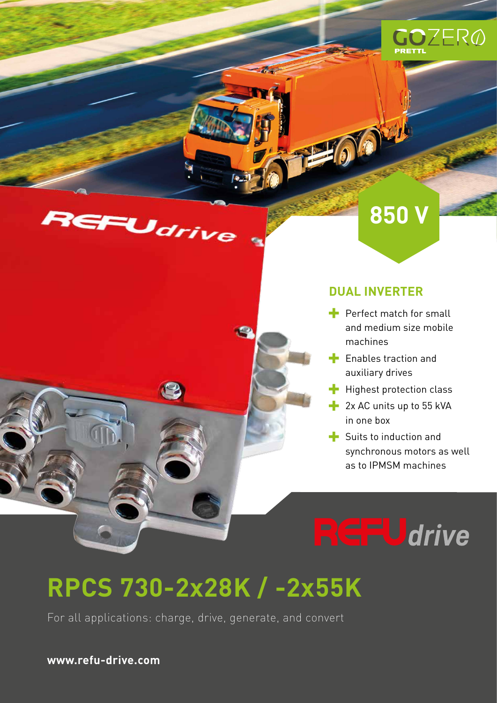

# REFUdrive



**OOL** 

 $\blacktriangleright$  Perfect match for small and medium size mobile machines

**850 V**

- $\blacksquare$  Enables traction and auxiliary drives
- $\blacktriangle$  Highest protection class
- $-2x$  AC units up to 55 kVA in one box
- $\blacktriangleright$  Suits to induction and synchronous motors as well as to IPMSM machines

**CFU**drive

# **RPCS 730-2x28K / -2x55K**

 $\epsilon$ 

For all applications: charge, drive, generate, and convert

**www.refu-drive.com**